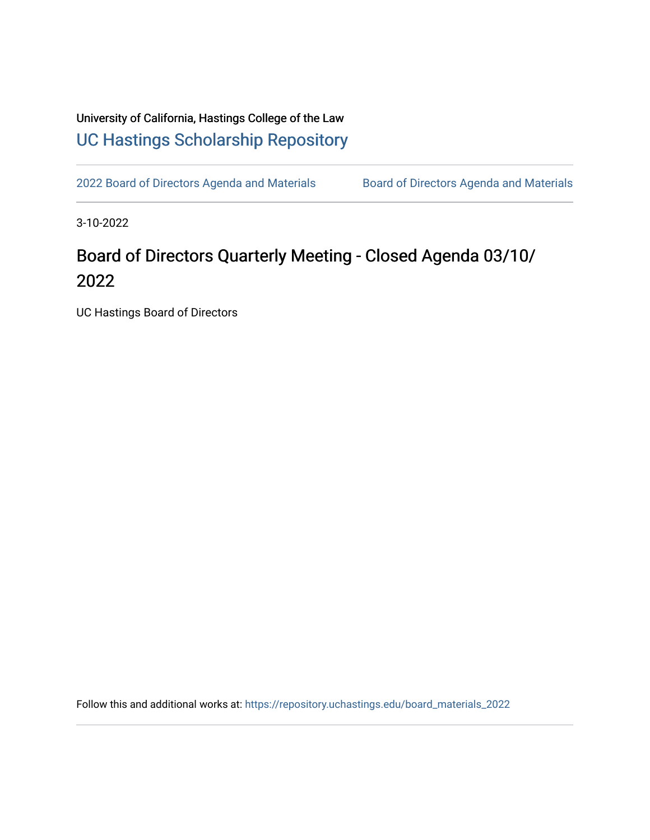## University of California, Hastings College of the Law [UC Hastings Scholarship Repository](https://repository.uchastings.edu/)

[2022 Board of Directors Agenda and Materials](https://repository.uchastings.edu/board_materials_2022) Board of Directors Agenda and Materials

3-10-2022

# Board of Directors Quarterly Meeting - Closed Agenda 03/10/ 2022

UC Hastings Board of Directors

Follow this and additional works at: [https://repository.uchastings.edu/board\\_materials\\_2022](https://repository.uchastings.edu/board_materials_2022?utm_source=repository.uchastings.edu%2Fboard_materials_2022%2F18&utm_medium=PDF&utm_campaign=PDFCoverPages)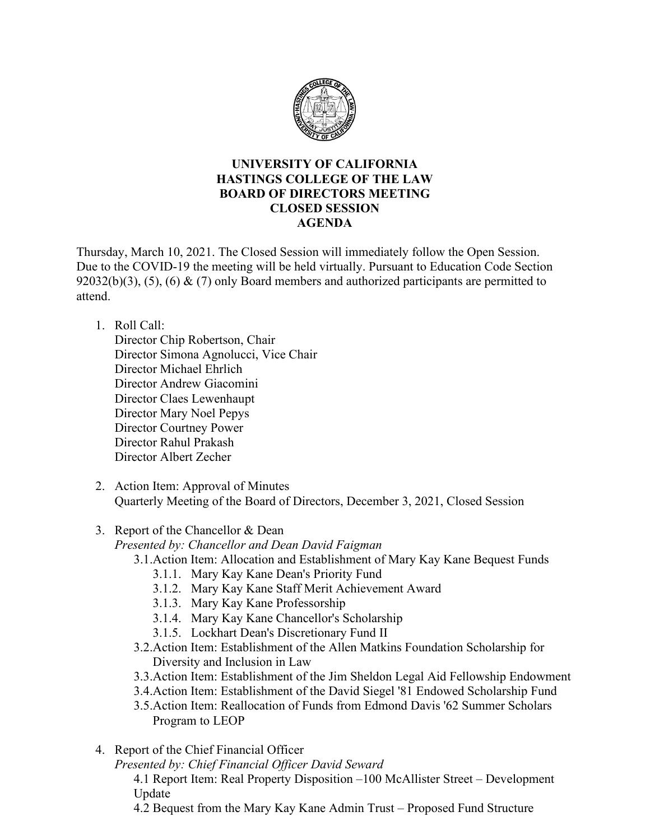

#### **UNIVERSITY OF CALIFORNIA HASTINGS COLLEGE OF THE LAW BOARD OF DIRECTORS MEETING CLOSED SESSION AGENDA**

Thursday, March 10, 2021. The Closed Session will immediately follow the Open Session. Due to the COVID-19 the meeting will be held virtually. Pursuant to Education Code Section 92032(b)(3), (5), (6) & (7) only Board members and authorized participants are permitted to attend.

#### 1. Roll Call:

Director Chip Robertson, Chair Director Simona Agnolucci, Vice Chair Director Michael Ehrlich Director Andrew Giacomini Director Claes Lewenhaupt Director Mary Noel Pepys Director Courtney Power Director Rahul Prakash Director Albert Zecher

2. Action Item: Approval of Minutes Quarterly Meeting of the Board of Directors, December 3, 2021, Closed Session

### 3. Report of the Chancellor & Dean

*Presented by: Chancellor and Dean David Faigman* 

- 3.1.Action Item: Allocation and Establishment of Mary Kay Kane Bequest Funds
	- 3.1.1. Mary Kay Kane Dean's Priority Fund
	- 3.1.2. Mary Kay Kane Staff Merit Achievement Award
	- 3.1.3. Mary Kay Kane Professorship
	- 3.1.4. Mary Kay Kane Chancellor's Scholarship
	- 3.1.5. Lockhart Dean's Discretionary Fund II
- 3.2.Action Item: Establishment of the Allen Matkins Foundation Scholarship for Diversity and Inclusion in Law
- 3.3.Action Item: Establishment of the Jim Sheldon Legal Aid Fellowship Endowment
- 3.4.Action Item: Establishment of the David Siegel '81 Endowed Scholarship Fund

4. Report of the Chief Financial Officer

*Presented by: Chief Financial Officer David Seward*

4.1 Report Item: Real Property Disposition –100 McAllister Street – Development Update

4.2 Bequest from the Mary Kay Kane Admin Trust – Proposed Fund Structure

<sup>3.5.</sup>Action Item: Reallocation of Funds from Edmond Davis '62 Summer Scholars Program to LEOP